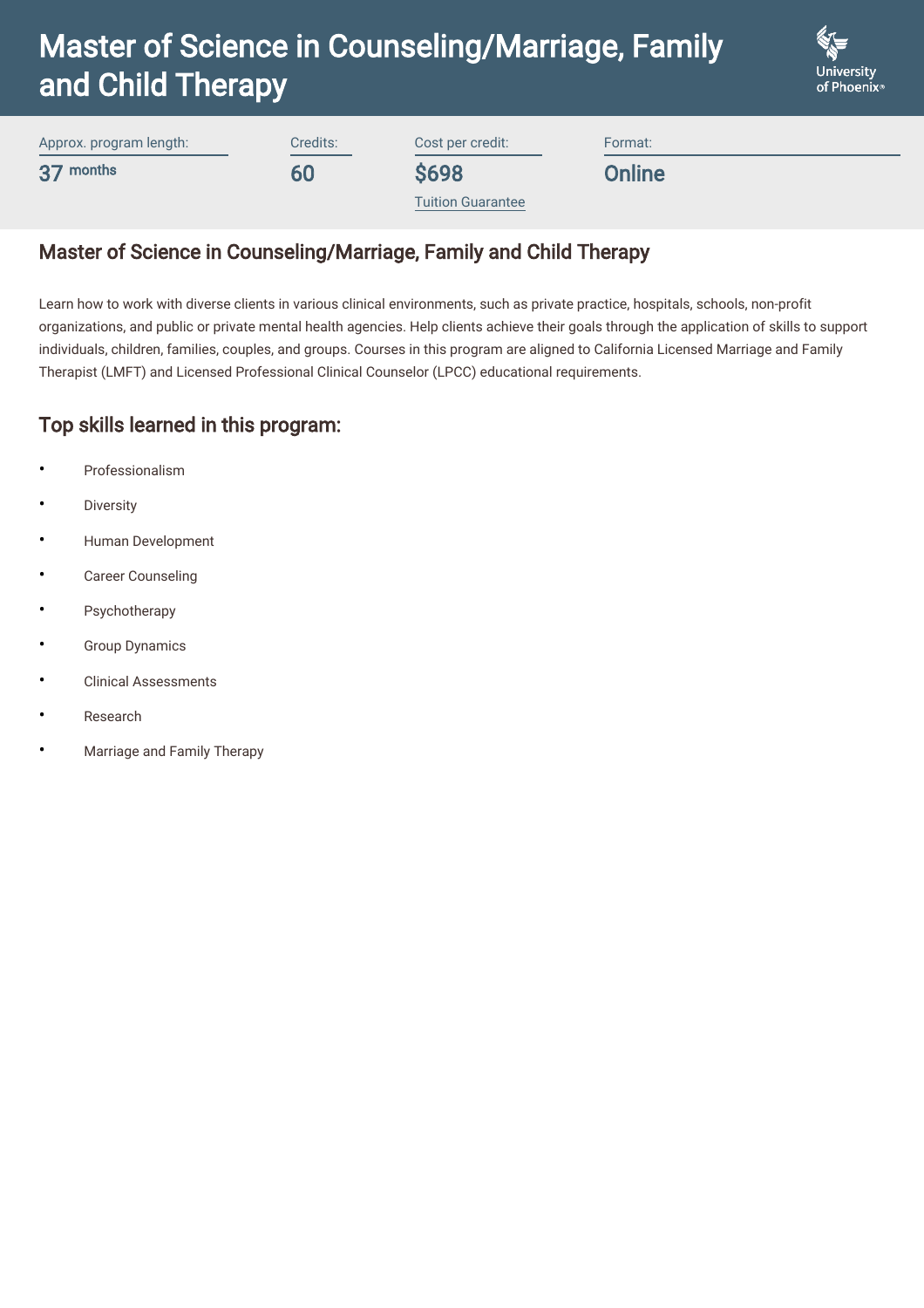

Approx. program length: 37 months Credits: 60

Cost per credit:

\$698

Format:

**Online** 

[Tuition Guarantee](https://www.phoenix.edu/content/altcloud/en/tuition_and_financial_options/tuition_and_fees.html)

## Master of Science in Counseling/Marriage, Family and Child Therapy

Learn how to work with diverse clients in various clinical environments, such as private practice, hospitals, schools, non-profit organizations, and public or private mental health agencies. Help clients achieve their goals through the application of skills to support individuals, children, families, couples, and groups. Courses in this program are aligned to California Licensed Marriage and Family Therapist (LMFT) and Licensed Professional Clinical Counselor (LPCC) educational requirements.

### Top skills learned in this program:

- **Professionalism**
- **Diversity**
- Human Development
- Career Counseling
- **Psychotherapy**
- **Group Dynamics**
- Clinical Assessments
- Research
- Marriage and Family Therapy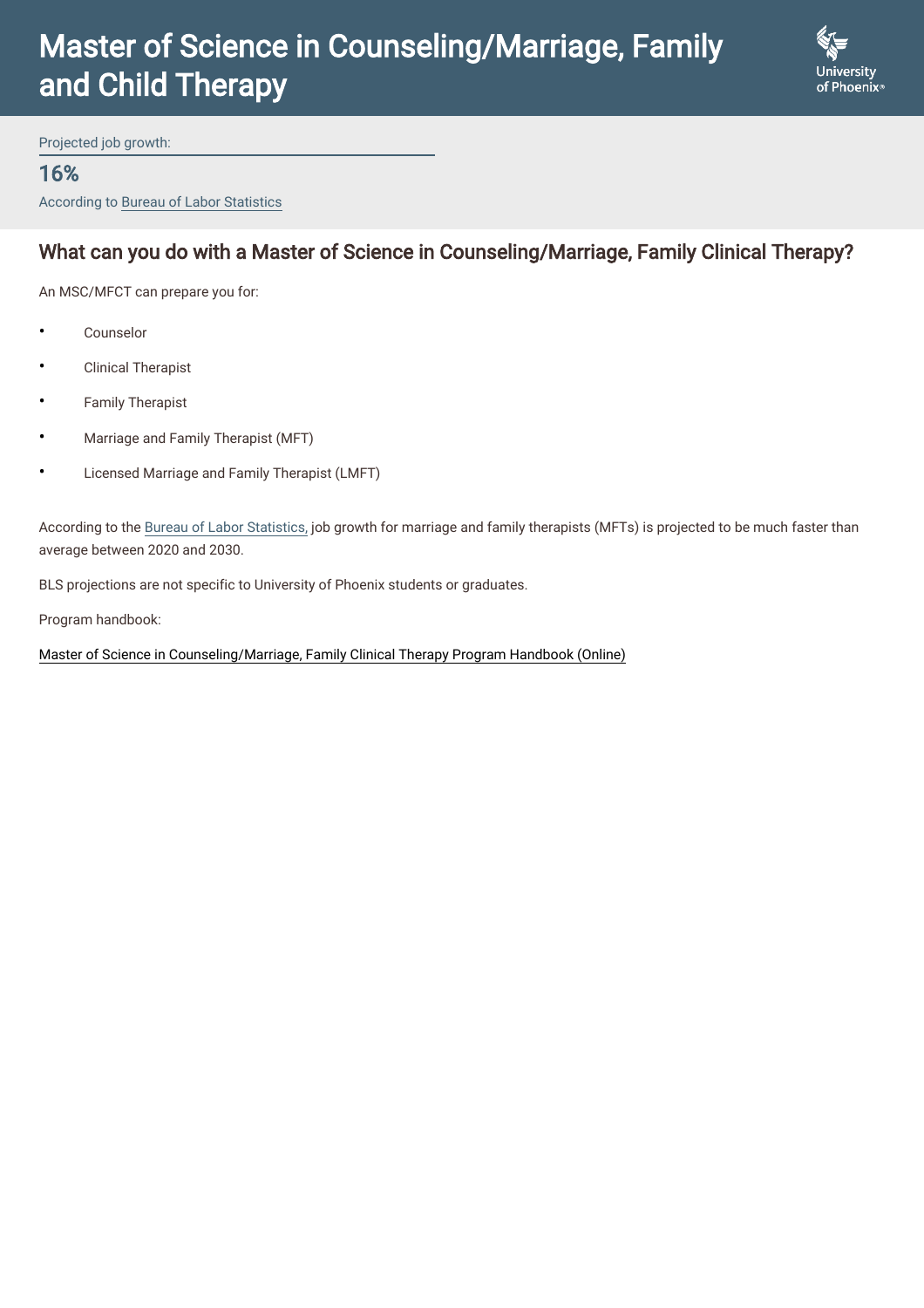

Projected job growth:

#### 16%

According to Bureau of Labor Statistics

### What can you do with a Master of Science in Counseling/Marriage, Family Clinical Therapy?

An MSC/MFCT can prepare you for:

- **Counselor**
- Clinical Therapist
- Family Therapist
- Marriage and Family Therapist (MFT)
- Licensed Marriage and Family Therapist (LMFT)

According to the [Bureau of Labor Statistics,](https://www.bls.gov/ooh/community-and-social-service/marriage-and-family-therapists.htm) job growth for marriage and family therapists (MFTs) is projected to be much faster than average between 2020 and 2030.

BLS projections are not specific to University of Phoenix students or graduates.

Program handbook:

[Master of Science in Counseling/Marriage, Family Clinical Therapy Program Handbook \(Online\)](https://www.phoenix.edu/content/dam/uopx/doc/mfct-online-program-handbook.pdf)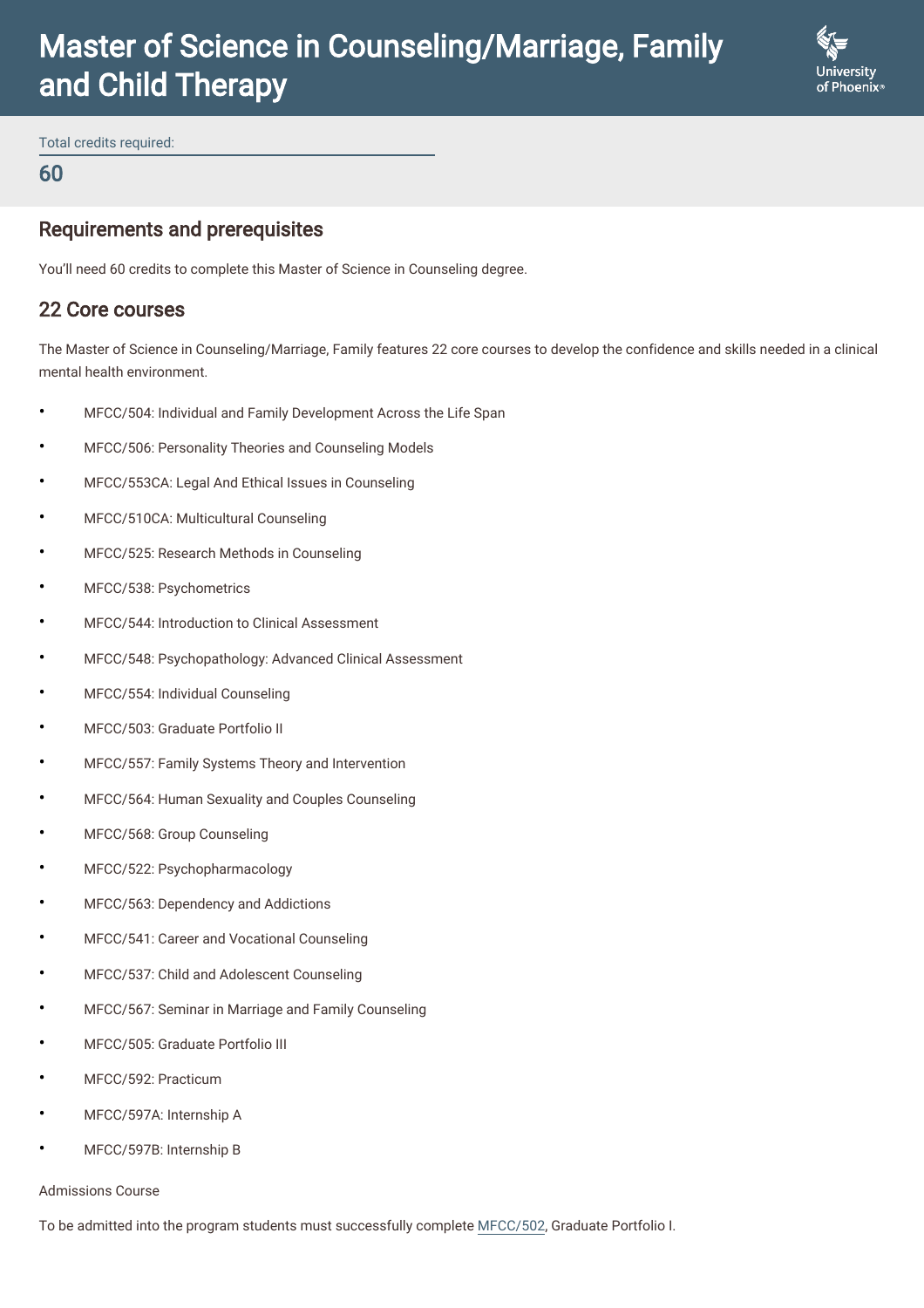

Total credits required:

#### 60

#### Requirements and prerequisites

You'll need 60 credits to complete this Master of Science in Counseling degree.

#### 22 Core courses

The Master of Science in Counseling/Marriage, Family features 22 core courses to develop the confidence and skills needed in a clinical mental health environment.

- MFCC/504: Individual and Family Development Across the Life Span
- MFCC/506: Personality Theories and Counseling Models
- MFCC/553CA: Legal And Ethical Issues in Counseling
- MFCC/510CA: Multicultural Counseling
- MFCC/525: Research Methods in Counseling
- MFCC/538: Psychometrics
- MFCC/544: Introduction to Clinical Assessment
- MFCC/548: Psychopathology: Advanced Clinical Assessment
- MFCC/554: Individual Counseling
- MFCC/503: Graduate Portfolio II
- MFCC/557: Family Systems Theory and Intervention
- MFCC/564: Human Sexuality and Couples Counseling
- MFCC/568: Group Counseling
- MFCC/522: Psychopharmacology
- MFCC/563: Dependency and Addictions
- MFCC/541: Career and Vocational Counseling
- MFCC/537: Child and Adolescent Counseling
- MFCC/567: Seminar in Marriage and Family Counseling
- MFCC/505: Graduate Portfolio III
- MFCC/592: Practicum
- MFCC/597A: Internship A
- MFCC/597B: Internship B

#### Admissions Course

To be admitted into the program students must successfully complete [MFCC/502,](https://www.phoenix.edu/content/altcloud/en/courses/mfcc502.html) Graduate Portfolio I.